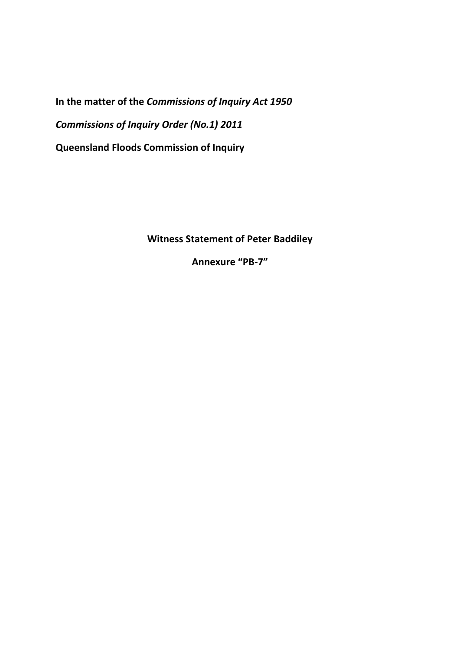**In the matter of the** *Commissions of Inquiry Act 1950 Commissions of Inquiry Order (No.1) 2011*  **Queensland Floods Commission of Inquiry** 

**Witness Statement of Peter Baddiley** 

**Annexure "PB-7"**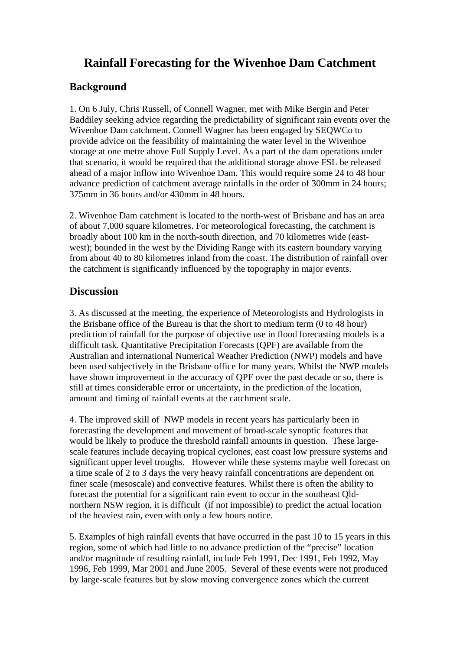## **Rainfall Forecasting for the Wivenhoe Dam Catchment**

## **Background**

1. On 6 July, Chris Russell, of Connell Wagner, met with Mike Bergin and Peter Baddiley seeking advice regarding the predictability of significant rain events over the Wivenhoe Dam catchment. Connell Wagner has been engaged by SEQWCo to provide advice on the feasibility of maintaining the water level in the Wivenhoe storage at one metre above Full Supply Level. As a part of the dam operations under that scenario, it would be required that the additional storage above FSL be released ahead of a major inflow into Wivenhoe Dam. This would require some 24 to 48 hour advance prediction of catchment average rainfalls in the order of 300mm in 24 hours; 375mm in 36 hours and/or 430mm in 48 hours.

2. Wivenhoe Dam catchment is located to the north-west of Brisbane and has an area of about 7,000 square kilometres. For meteorological forecasting, the catchment is broadly about 100 km in the north-south direction, and 70 kilometres wide (eastwest); bounded in the west by the Dividing Range with its eastern boundary varying from about 40 to 80 kilometres inland from the coast. The distribution of rainfall over the catchment is significantly influenced by the topography in major events.

## **Discussion**

3. As discussed at the meeting, the experience of Meteorologists and Hydrologists in the Brisbane office of the Bureau is that the short to medium term (0 to 48 hour) prediction of rainfall for the purpose of objective use in flood forecasting models is a difficult task. Quantitative Precipitation Forecasts (QPF) are available from the Australian and international Numerical Weather Prediction (NWP) models and have been used subjectively in the Brisbane office for many years. Whilst the NWP models have shown improvement in the accuracy of QPF over the past decade or so, there is still at times considerable error or uncertainty, in the prediction of the location, amount and timing of rainfall events at the catchment scale.

4. The improved skill of NWP models in recent years has particularly been in forecasting the development and movement of broad-scale synoptic features that would be likely to produce the threshold rainfall amounts in question. These largescale features include decaying tropical cyclones, east coast low pressure systems and significant upper level troughs. However while these systems maybe well forecast on a time scale of 2 to 3 days the very heavy rainfall concentrations are dependent on finer scale (mesoscale) and convective features. Whilst there is often the ability to forecast the potential for a significant rain event to occur in the southeast Qldnorthern NSW region, it is difficult (if not impossible) to predict the actual location of the heaviest rain, even with only a few hours notice.

5. Examples of high rainfall events that have occurred in the past 10 to 15 years in this region, some of which had little to no advance prediction of the "precise" location and/or magnitude of resulting rainfall, include Feb 1991, Dec 1991, Feb 1992, May 1996, Feb 1999, Mar 2001 and June 2005. Several of these events were not produced by large-scale features but by slow moving convergence zones which the current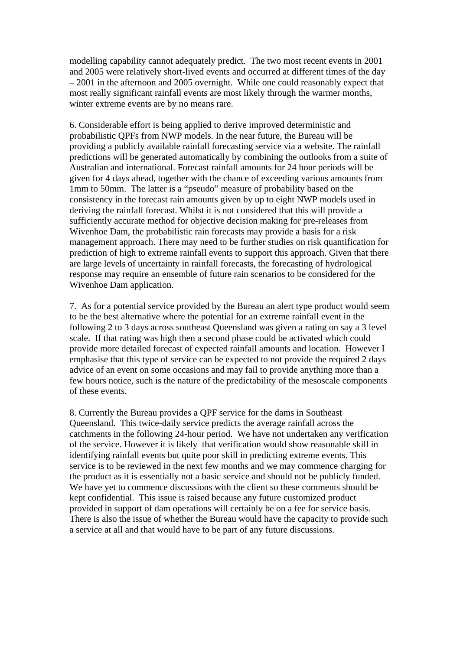modelling capability cannot adequately predict. The two most recent events in 2001 and 2005 were relatively short-lived events and occurred at different times of the day – 2001 in the afternoon and 2005 overnight. While one could reasonably expect that most really significant rainfall events are most likely through the warmer months, winter extreme events are by no means rare.

6. Considerable effort is being applied to derive improved deterministic and probabilistic QPFs from NWP models. In the near future, the Bureau will be providing a publicly available rainfall forecasting service via a website. The rainfall predictions will be generated automatically by combining the outlooks from a suite of Australian and international. Forecast rainfall amounts for 24 hour periods will be given for 4 days ahead, together with the chance of exceeding various amounts from 1mm to 50mm. The latter is a "pseudo" measure of probability based on the consistency in the forecast rain amounts given by up to eight NWP models used in deriving the rainfall forecast. Whilst it is not considered that this will provide a sufficiently accurate method for objective decision making for pre-releases from Wivenhoe Dam, the probabilistic rain forecasts may provide a basis for a risk management approach. There may need to be further studies on risk quantification for prediction of high to extreme rainfall events to support this approach. Given that there are large levels of uncertainty in rainfall forecasts, the forecasting of hydrological response may require an ensemble of future rain scenarios to be considered for the Wivenhoe Dam application.

7. As for a potential service provided by the Bureau an alert type product would seem to be the best alternative where the potential for an extreme rainfall event in the following 2 to 3 days across southeast Queensland was given a rating on say a 3 level scale. If that rating was high then a second phase could be activated which could provide more detailed forecast of expected rainfall amounts and location. However I emphasise that this type of service can be expected to not provide the required 2 days advice of an event on some occasions and may fail to provide anything more than a few hours notice, such is the nature of the predictability of the mesoscale components of these events.

8. Currently the Bureau provides a QPF service for the dams in Southeast Queensland. This twice-daily service predicts the average rainfall across the catchments in the following 24-hour period. We have not undertaken any verification of the service. However it is likely that verification would show reasonable skill in identifying rainfall events but quite poor skill in predicting extreme events. This service is to be reviewed in the next few months and we may commence charging for the product as it is essentially not a basic service and should not be publicly funded. We have yet to commence discussions with the client so these comments should be kept confidential. This issue is raised because any future customized product provided in support of dam operations will certainly be on a fee for service basis. There is also the issue of whether the Bureau would have the capacity to provide such a service at all and that would have to be part of any future discussions.